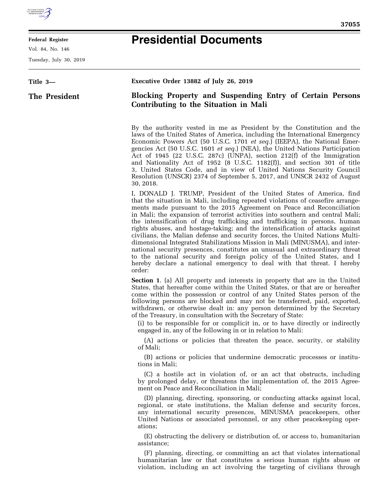

## **Federal Register**

Vol. 84, No. 146

Tuesday, July 30, 2019

## **Presidential Documents**

| Title 3-             | Executive Order 13882 of July 26, 2019                                                                                                                                                                                                                                                                                                                                                                                                                                                                                                                                                                                                                                                                                                                                                                                                                                                        |
|----------------------|-----------------------------------------------------------------------------------------------------------------------------------------------------------------------------------------------------------------------------------------------------------------------------------------------------------------------------------------------------------------------------------------------------------------------------------------------------------------------------------------------------------------------------------------------------------------------------------------------------------------------------------------------------------------------------------------------------------------------------------------------------------------------------------------------------------------------------------------------------------------------------------------------|
| <b>The President</b> | <b>Blocking Property and Suspending Entry of Certain Persons</b><br>Contributing to the Situation in Mali                                                                                                                                                                                                                                                                                                                                                                                                                                                                                                                                                                                                                                                                                                                                                                                     |
|                      | By the authority vested in me as President by the Constitution and the<br>laws of the United States of America, including the International Emergency<br>Economic Powers Act (50 U.S.C. 1701 et seq.) (IEEPA), the National Emer-<br>gencies Act (50 U.S.C. 1601 et seq.) (NEA), the United Nations Participation<br>Act of 1945 (22 U.S.C. 287c) (UNPA), section 212(f) of the Immigration<br>and Nationality Act of 1952 (8 U.S.C. 1182(f)), and section 301 of title<br>3, United States Code, and in view of United Nations Security Council<br>Resolution (UNSCR) 2374 of September 5, 2017, and UNSCR 2432 of August<br>30, 2018.                                                                                                                                                                                                                                                       |
|                      | I, DONALD J. TRUMP, President of the United States of America, find<br>that the situation in Mali, including repeated violations of ceasefire arrange-<br>ments made pursuant to the 2015 Agreement on Peace and Reconciliation<br>in Mali; the expansion of terrorist activities into southern and central Mali;<br>the intensification of drug trafficking and trafficking in persons, human<br>rights abuses, and hostage-taking; and the intensification of attacks against<br>civilians, the Malian defense and security forces, the United Nations Multi-<br>dimensional Integrated Stabilizations Mission in Mali (MINUSMA), and inter-<br>national security presences, constitutes an unusual and extraordinary threat<br>to the national security and foreign policy of the United States, and I<br>hereby declare a national emergency to deal with that threat. I hereby<br>order: |
|                      | <b>Section 1.</b> (a) All property and interests in property that are in the United<br>States, that hereafter come within the United States, or that are or hereafter<br>come within the possession or control of any United States person of the<br>following persons are blocked and may not be transferred, paid, exported,<br>withdrawn, or otherwise dealt in: any person determined by the Secretary<br>of the Treasury, in consultation with the Secretary of State:<br>(i) to be responsible for or complicit in, or to have directly or indirectly<br>engaged in, any of the following in or in relation to Mali:                                                                                                                                                                                                                                                                    |
|                      | (A) actions or policies that threaten the peace, security, or stability<br>of Mali;                                                                                                                                                                                                                                                                                                                                                                                                                                                                                                                                                                                                                                                                                                                                                                                                           |
|                      | (B) actions or policies that undermine democratic processes or institu-<br>tions in Mali;                                                                                                                                                                                                                                                                                                                                                                                                                                                                                                                                                                                                                                                                                                                                                                                                     |
|                      | (C) a hostile act in violation of, or an act that obstructs, including<br>by prolonged delay, or threatens the implementation of, the 2015 Agree-<br>ment on Peace and Reconciliation in Mali;                                                                                                                                                                                                                                                                                                                                                                                                                                                                                                                                                                                                                                                                                                |
|                      | (D) planning, directing, sponsoring, or conducting attacks against local,<br>regional, or state institutions, the Malian defense and security forces,<br>any international security presences, MINUSMA peacekeepers, other<br>United Nations or associated personnel, or any other peacekeeping oper-<br>ations;                                                                                                                                                                                                                                                                                                                                                                                                                                                                                                                                                                              |
|                      | (E) obstructing the delivery or distribution of, or access to, humanitarian<br>assistance;                                                                                                                                                                                                                                                                                                                                                                                                                                                                                                                                                                                                                                                                                                                                                                                                    |
|                      | (F) planning, directing, or committing an act that violates international<br>humanitarian law or that constitutes a serious human rights abuse or<br>violation, including an act involving the targeting of civilians through                                                                                                                                                                                                                                                                                                                                                                                                                                                                                                                                                                                                                                                                 |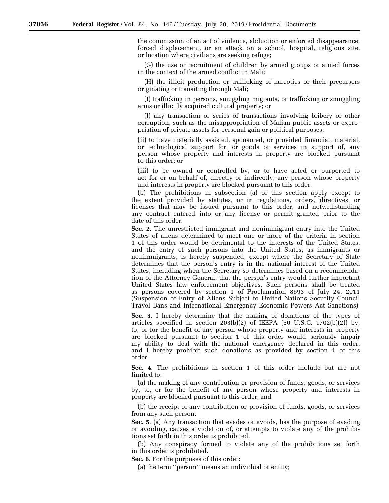the commission of an act of violence, abduction or enforced disappearance, forced displacement, or an attack on a school, hospital, religious site, or location where civilians are seeking refuge;

(G) the use or recruitment of children by armed groups or armed forces in the context of the armed conflict in Mali;

(H) the illicit production or trafficking of narcotics or their precursors originating or transiting through Mali;

(I) trafficking in persons, smuggling migrants, or trafficking or smuggling arms or illicitly acquired cultural property; or

(J) any transaction or series of transactions involving bribery or other corruption, such as the misappropriation of Malian public assets or expropriation of private assets for personal gain or political purposes;

(ii) to have materially assisted, sponsored, or provided financial, material, or technological support for, or goods or services in support of, any person whose property and interests in property are blocked pursuant to this order; or

(iii) to be owned or controlled by, or to have acted or purported to act for or on behalf of, directly or indirectly, any person whose property and interests in property are blocked pursuant to this order.

(b) The prohibitions in subsection (a) of this section apply except to the extent provided by statutes, or in regulations, orders, directives, or licenses that may be issued pursuant to this order, and notwithstanding any contract entered into or any license or permit granted prior to the date of this order.

**Sec. 2**. The unrestricted immigrant and nonimmigrant entry into the United States of aliens determined to meet one or more of the criteria in section 1 of this order would be detrimental to the interests of the United States, and the entry of such persons into the United States, as immigrants or nonimmigrants, is hereby suspended, except where the Secretary of State determines that the person's entry is in the national interest of the United States, including when the Secretary so determines based on a recommendation of the Attorney General, that the person's entry would further important United States law enforcement objectives. Such persons shall be treated as persons covered by section 1 of Proclamation 8693 of July 24, 2011 (Suspension of Entry of Aliens Subject to United Nations Security Council Travel Bans and International Emergency Economic Powers Act Sanctions).

**Sec. 3**. I hereby determine that the making of donations of the types of articles specified in section  $203(b)(2)$  of IEEPA (50 U.S.C. 1702(b)(2)) by, to, or for the benefit of any person whose property and interests in property are blocked pursuant to section 1 of this order would seriously impair my ability to deal with the national emergency declared in this order, and I hereby prohibit such donations as provided by section 1 of this order.

**Sec. 4**. The prohibitions in section 1 of this order include but are not limited to:

(a) the making of any contribution or provision of funds, goods, or services by, to, or for the benefit of any person whose property and interests in property are blocked pursuant to this order; and

(b) the receipt of any contribution or provision of funds, goods, or services from any such person.

**Sec. 5**. (a) Any transaction that evades or avoids, has the purpose of evading or avoiding, causes a violation of, or attempts to violate any of the prohibitions set forth in this order is prohibited.

(b) Any conspiracy formed to violate any of the prohibitions set forth in this order is prohibited.

**Sec. 6**. For the purposes of this order:

(a) the term ''person'' means an individual or entity;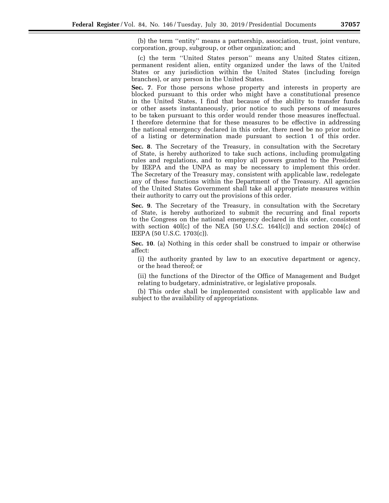(b) the term ''entity'' means a partnership, association, trust, joint venture, corporation, group, subgroup, or other organization; and

(c) the term ''United States person'' means any United States citizen, permanent resident alien, entity organized under the laws of the United States or any jurisdiction within the United States (including foreign branches), or any person in the United States.

**Sec. 7**. For those persons whose property and interests in property are blocked pursuant to this order who might have a constitutional presence in the United States, I find that because of the ability to transfer funds or other assets instantaneously, prior notice to such persons of measures to be taken pursuant to this order would render those measures ineffectual. I therefore determine that for these measures to be effective in addressing the national emergency declared in this order, there need be no prior notice of a listing or determination made pursuant to section 1 of this order.

**Sec. 8**. The Secretary of the Treasury, in consultation with the Secretary of State, is hereby authorized to take such actions, including promulgating rules and regulations, and to employ all powers granted to the President by IEEPA and the UNPA as may be necessary to implement this order. The Secretary of the Treasury may, consistent with applicable law, redelegate any of these functions within the Department of the Treasury. All agencies of the United States Government shall take all appropriate measures within their authority to carry out the provisions of this order.

**Sec. 9**. The Secretary of the Treasury, in consultation with the Secretary of State, is hereby authorized to submit the recurring and final reports to the Congress on the national emergency declared in this order, consistent with section 40 $l(c)$  of the NEA (50 U.S.C. 164 $l(c)$ ) and section 204 $(c)$  of IEEPA (50 U.S.C. 1703(c)).

**Sec. 10**. (a) Nothing in this order shall be construed to impair or otherwise affect:

(i) the authority granted by law to an executive department or agency, or the head thereof; or

(ii) the functions of the Director of the Office of Management and Budget relating to budgetary, administrative, or legislative proposals.

(b) This order shall be implemented consistent with applicable law and subject to the availability of appropriations.